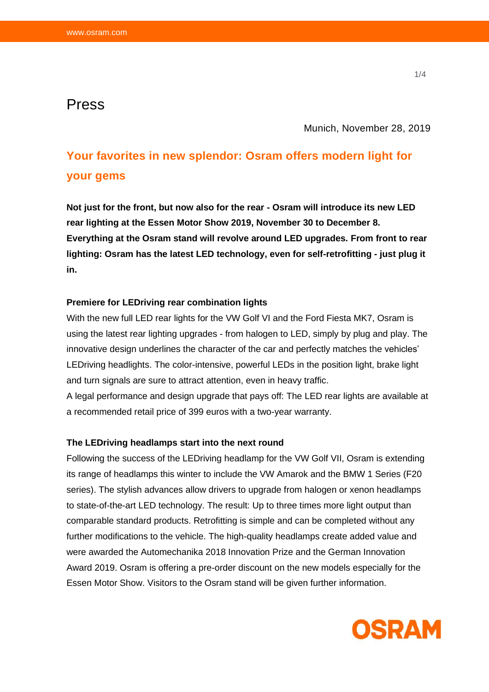# Press

Munich, November 28, 2019

# **Your favorites in new splendor: Osram offers modern light for your gems**

**Not just for the front, but now also for the rear - Osram will introduce its new LED rear lighting at the Essen Motor Show 2019, November 30 to December 8. Everything at the Osram stand will revolve around LED upgrades. From front to rear lighting: Osram has the latest LED technology, even for self-retrofitting - just plug it in.**

# **Premiere for LEDriving rear combination lights**

With the new full LED rear lights for the VW Golf VI and the Ford Fiesta MK7, Osram is using the latest rear lighting upgrades - from halogen to LED, simply by plug and play. The innovative design underlines the character of the car and perfectly matches the vehicles' LEDriving headlights. The color-intensive, powerful LEDs in the position light, brake light and turn signals are sure to attract attention, even in heavy traffic.

A legal performance and design upgrade that pays off: The LED rear lights are available at a recommended retail price of 399 euros with a two-year warranty.

#### **The LEDriving headlamps start into the next round**

Following the success of the LEDriving headlamp for the VW Golf VII, Osram is extending its range of headlamps this winter to include the VW Amarok and the BMW 1 Series (F20 series). The stylish advances allow drivers to upgrade from halogen or xenon headlamps to state-of-the-art LED technology. The result: Up to three times more light output than comparable standard products. Retrofitting is simple and can be completed without any further modifications to the vehicle. The high-quality headlamps create added value and were awarded the Automechanika 2018 Innovation Prize and the German Innovation Award 2019. Osram is offering a pre-order discount on the new models especially for the Essen Motor Show. Visitors to the Osram stand will be given further information.

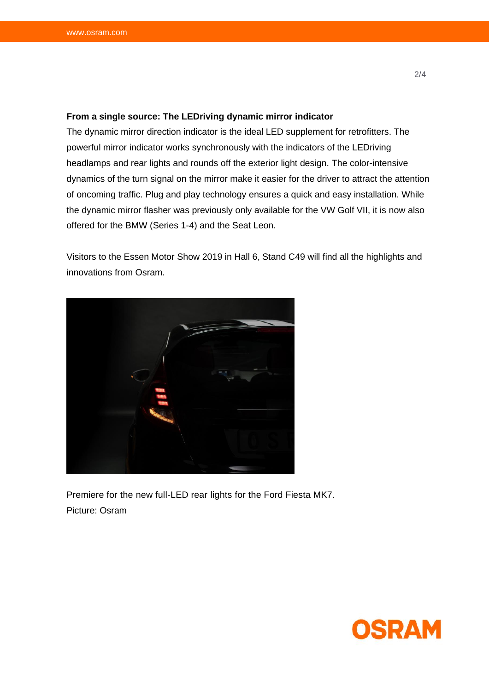## **From a single source: The LEDriving dynamic mirror indicator**

The dynamic mirror direction indicator is the ideal LED supplement for retrofitters. The powerful mirror indicator works synchronously with the indicators of the LEDriving headlamps and rear lights and rounds off the exterior light design. The color-intensive dynamics of the turn signal on the mirror make it easier for the driver to attract the attention of oncoming traffic. Plug and play technology ensures a quick and easy installation. While the dynamic mirror flasher was previously only available for the VW Golf VII, it is now also offered for the BMW (Series 1-4) and the Seat Leon.

Visitors to the Essen Motor Show 2019 in Hall 6, Stand C49 will find all the highlights and innovations from Osram.



Premiere for the new full-LED rear lights for the Ford Fiesta MK7. Picture: Osram

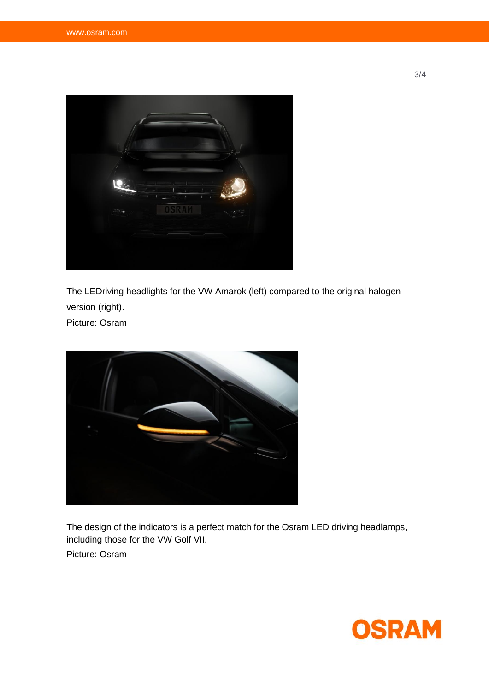

The LEDriving headlights for the VW Amarok (left) compared to the original halogen version (right).

Picture: Osram



The design of the indicators is a perfect match for the Osram LED driving headlamps, including those for the VW Golf VII.

Picture: Osram